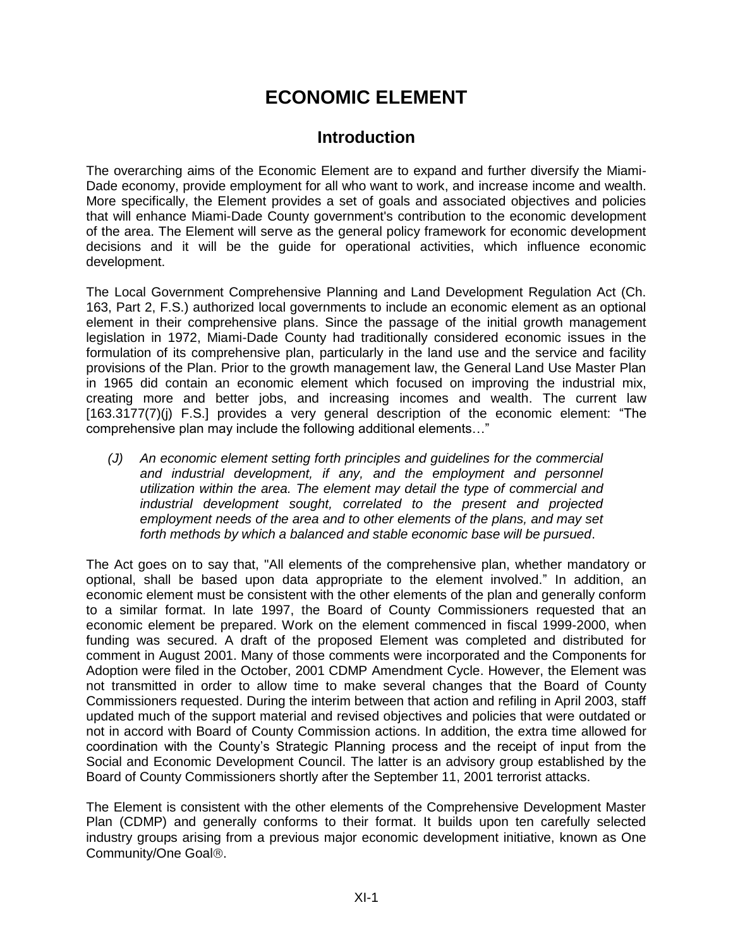# **ECONOMIC ELEMENT**

# **Introduction**

The overarching aims of the Economic Element are to expand and further diversify the Miami-Dade economy, provide employment for all who want to work, and increase income and wealth. More specifically, the Element provides a set of goals and associated objectives and policies that will enhance Miami-Dade County government's contribution to the economic development of the area. The Element will serve as the general policy framework for economic development decisions and it will be the guide for operational activities, which influence economic development.

The Local Government Comprehensive Planning and Land Development Regulation Act (Ch. 163, Part 2, F.S.) authorized local governments to include an economic element as an optional element in their comprehensive plans. Since the passage of the initial growth management legislation in 1972, Miami-Dade County had traditionally considered economic issues in the formulation of its comprehensive plan, particularly in the land use and the service and facility provisions of the Plan. Prior to the growth management law, the General Land Use Master Plan in 1965 did contain an economic element which focused on improving the industrial mix, creating more and better jobs, and increasing incomes and wealth. The current law [163.3177(7)(j) F.S.] provides a very general description of the economic element: "The comprehensive plan may include the following additional elements…"

*(J) An economic element setting forth principles and guidelines for the commercial and industrial development, if any, and the employment and personnel utilization within the area. The element may detail the type of commercial and industrial development sought, correlated to the present and projected employment needs of the area and to other elements of the plans, and may set forth methods by which a balanced and stable economic base will be pursued*.

The Act goes on to say that, "All elements of the comprehensive plan, whether mandatory or optional, shall be based upon data appropriate to the element involved." In addition, an economic element must be consistent with the other elements of the plan and generally conform to a similar format. In late 1997, the Board of County Commissioners requested that an economic element be prepared. Work on the element commenced in fiscal 1999-2000, when funding was secured. A draft of the proposed Element was completed and distributed for comment in August 2001. Many of those comments were incorporated and the Components for Adoption were filed in the October, 2001 CDMP Amendment Cycle. However, the Element was not transmitted in order to allow time to make several changes that the Board of County Commissioners requested. During the interim between that action and refiling in April 2003, staff updated much of the support material and revised objectives and policies that were outdated or not in accord with Board of County Commission actions. In addition, the extra time allowed for coordination with the County's Strategic Planning process and the receipt of input from the Social and Economic Development Council. The latter is an advisory group established by the Board of County Commissioners shortly after the September 11, 2001 terrorist attacks.

The Element is consistent with the other elements of the Comprehensive Development Master Plan (CDMP) and generally conforms to their format. It builds upon ten carefully selected industry groups arising from a previous major economic development initiative, known as One Community/One Goal<sup>®</sup>.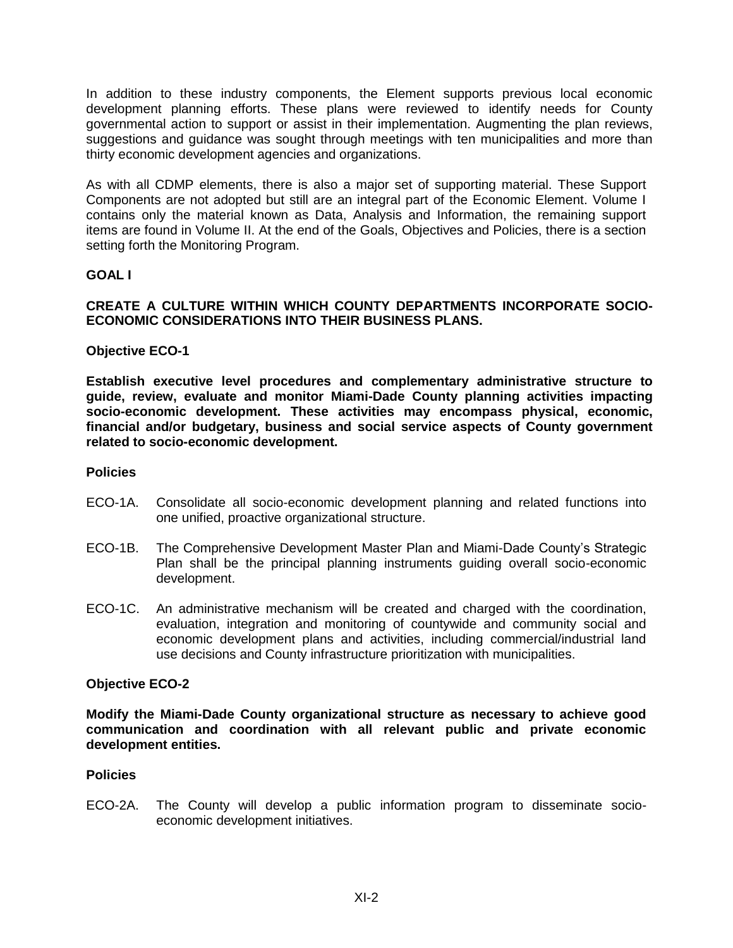In addition to these industry components, the Element supports previous local economic development planning efforts. These plans were reviewed to identify needs for County governmental action to support or assist in their implementation. Augmenting the plan reviews, suggestions and guidance was sought through meetings with ten municipalities and more than thirty economic development agencies and organizations.

As with all CDMP elements, there is also a major set of supporting material. These Support Components are not adopted but still are an integral part of the Economic Element. Volume I contains only the material known as Data, Analysis and Information, the remaining support items are found in Volume II. At the end of the Goals, Objectives and Policies, there is a section setting forth the Monitoring Program.

# **GOAL I**

# **CREATE A CULTURE WITHIN WHICH COUNTY DEPARTMENTS INCORPORATE SOCIO-ECONOMIC CONSIDERATIONS INTO THEIR BUSINESS PLANS.**

# **Objective ECO-1**

**Establish executive level procedures and complementary administrative structure to guide, review, evaluate and monitor Miami-Dade County planning activities impacting socio-economic development. These activities may encompass physical, economic, financial and/or budgetary, business and social service aspects of County government related to socio-economic development.**

#### **Policies**

- ECO-1A. Consolidate all socio-economic development planning and related functions into one unified, proactive organizational structure.
- ECO-1B. The Comprehensive Development Master Plan and Miami-Dade County's Strategic Plan shall be the principal planning instruments guiding overall socio-economic development.
- ECO-1C. An administrative mechanism will be created and charged with the coordination, evaluation, integration and monitoring of countywide and community social and economic development plans and activities, including commercial/industrial land use decisions and County infrastructure prioritization with municipalities.

#### **Objective ECO-2**

**Modify the Miami-Dade County organizational structure as necessary to achieve good communication and coordination with all relevant public and private economic development entities.**

#### **Policies**

ECO-2A. The County will develop a public information program to disseminate socioeconomic development initiatives.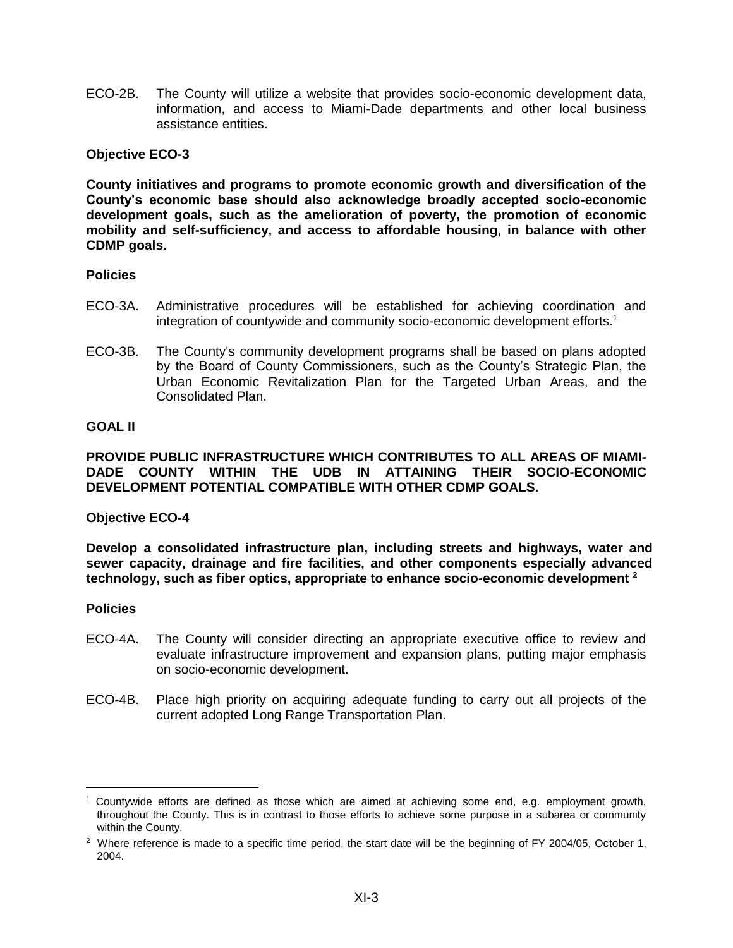ECO-2B. The County will utilize a website that provides socio-economic development data, information, and access to Miami-Dade departments and other local business assistance entities.

# **Objective ECO-3**

**County initiatives and programs to promote economic growth and diversification of the County's economic base should also acknowledge broadly accepted socio-economic development goals, such as the amelioration of poverty, the promotion of economic mobility and self-sufficiency, and access to affordable housing, in balance with other CDMP goals.**

#### **Policies**

- ECO-3A. Administrative procedures will be established for achieving coordination and integration of countywide and community socio-economic development efforts.<sup>1</sup>
- ECO-3B. The County's community development programs shall be based on plans adopted by the Board of County Commissioners, such as the County's Strategic Plan, the Urban Economic Revitalization Plan for the Targeted Urban Areas, and the Consolidated Plan.

#### **GOAL II**

**PROVIDE PUBLIC INFRASTRUCTURE WHICH CONTRIBUTES TO ALL AREAS OF MIAMI-DADE COUNTY WITHIN THE UDB IN ATTAINING THEIR SOCIO-ECONOMIC DEVELOPMENT POTENTIAL COMPATIBLE WITH OTHER CDMP GOALS.**

**Objective ECO-4**

**Develop a consolidated infrastructure plan, including streets and highways, water and sewer capacity, drainage and fire facilities, and other components especially advanced technology, such as fiber optics, appropriate to enhance socio-economic development <sup>2</sup>**

#### **Policies**

 $\overline{a}$ 

- ECO-4A. The County will consider directing an appropriate executive office to review and evaluate infrastructure improvement and expansion plans, putting major emphasis on socio-economic development.
- ECO-4B. Place high priority on acquiring adequate funding to carry out all projects of the current adopted Long Range Transportation Plan.

<sup>&</sup>lt;sup>1</sup> Countywide efforts are defined as those which are aimed at achieving some end, e.g. employment growth, throughout the County. This is in contrast to those efforts to achieve some purpose in a subarea or community within the County.

<sup>&</sup>lt;sup>2</sup> Where reference is made to a specific time period, the start date will be the beginning of FY 2004/05, October 1, 2004.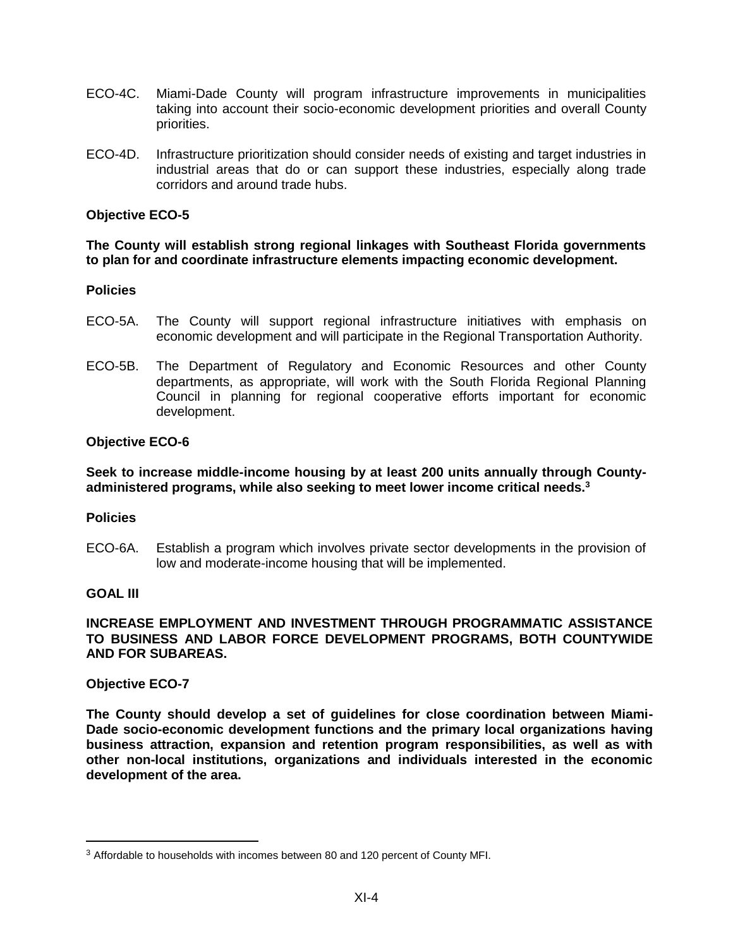- ECO-4C. Miami-Dade County will program infrastructure improvements in municipalities taking into account their socio-economic development priorities and overall County priorities.
- ECO-4D. Infrastructure prioritization should consider needs of existing and target industries in industrial areas that do or can support these industries, especially along trade corridors and around trade hubs.

# **Objective ECO-5**

# **The County will establish strong regional linkages with Southeast Florida governments to plan for and coordinate infrastructure elements impacting economic development.**

#### **Policies**

- ECO-5A. The County will support regional infrastructure initiatives with emphasis on economic development and will participate in the Regional Transportation Authority.
- ECO-5B. The Department of Regulatory and Economic Resources and other County departments, as appropriate, will work with the South Florida Regional Planning Council in planning for regional cooperative efforts important for economic development.

# **Objective ECO-6**

# **Seek to increase middle-income housing by at least 200 units annually through Countyadministered programs, while also seeking to meet lower income critical needs.<sup>3</sup>**

#### **Policies**

ECO-6A. Establish a program which involves private sector developments in the provision of low and moderate-income housing that will be implemented.

# **GOAL III**

 $\overline{a}$ 

## **INCREASE EMPLOYMENT AND INVESTMENT THROUGH PROGRAMMATIC ASSISTANCE TO BUSINESS AND LABOR FORCE DEVELOPMENT PROGRAMS, BOTH COUNTYWIDE AND FOR SUBAREAS.**

#### **Objective ECO-7**

**The County should develop a set of guidelines for close coordination between Miami-Dade socio-economic development functions and the primary local organizations having business attraction, expansion and retention program responsibilities, as well as with other non-local institutions, organizations and individuals interested in the economic development of the area.**

<sup>&</sup>lt;sup>3</sup> Affordable to households with incomes between 80 and 120 percent of County MFI.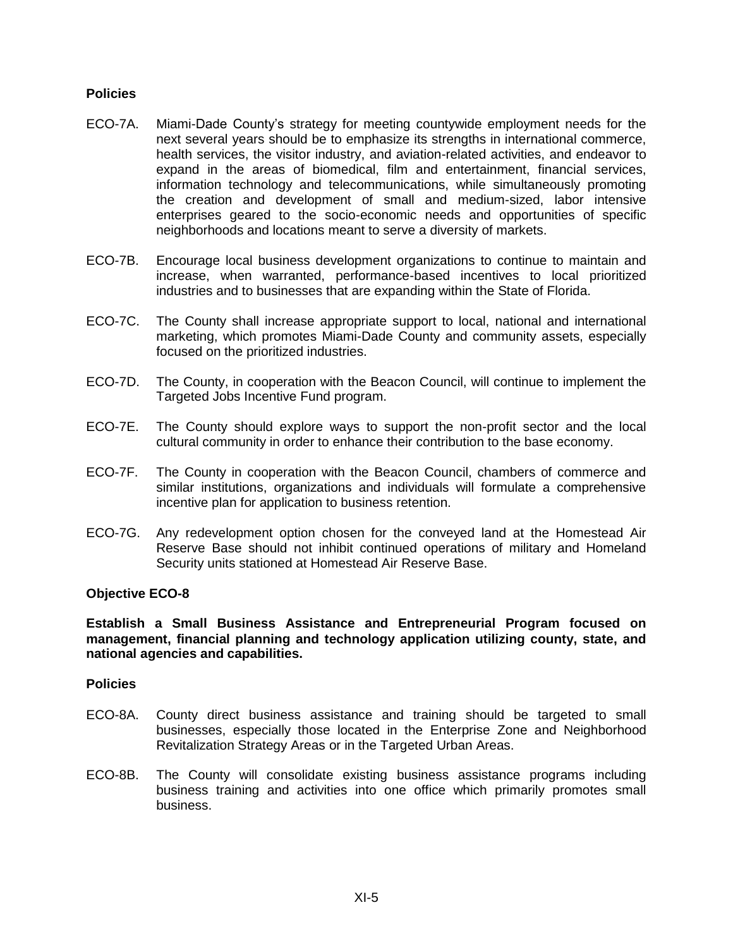# **Policies**

- ECO-7A. Miami-Dade County's strategy for meeting countywide employment needs for the next several years should be to emphasize its strengths in international commerce, health services, the visitor industry, and aviation-related activities, and endeavor to expand in the areas of biomedical, film and entertainment, financial services, information technology and telecommunications, while simultaneously promoting the creation and development of small and medium-sized, labor intensive enterprises geared to the socio-economic needs and opportunities of specific neighborhoods and locations meant to serve a diversity of markets.
- ECO-7B. Encourage local business development organizations to continue to maintain and increase, when warranted, performance-based incentives to local prioritized industries and to businesses that are expanding within the State of Florida.
- ECO-7C. The County shall increase appropriate support to local, national and international marketing, which promotes Miami-Dade County and community assets, especially focused on the prioritized industries.
- ECO-7D. The County, in cooperation with the Beacon Council, will continue to implement the Targeted Jobs Incentive Fund program.
- ECO-7E. The County should explore ways to support the non-profit sector and the local cultural community in order to enhance their contribution to the base economy.
- ECO-7F. The County in cooperation with the Beacon Council, chambers of commerce and similar institutions, organizations and individuals will formulate a comprehensive incentive plan for application to business retention.
- ECO-7G. Any redevelopment option chosen for the conveyed land at the Homestead Air Reserve Base should not inhibit continued operations of military and Homeland Security units stationed at Homestead Air Reserve Base.

#### **Objective ECO-8**

**Establish a Small Business Assistance and Entrepreneurial Program focused on management, financial planning and technology application utilizing county, state, and national agencies and capabilities.**

#### **Policies**

- ECO-8A. County direct business assistance and training should be targeted to small businesses, especially those located in the Enterprise Zone and Neighborhood Revitalization Strategy Areas or in the Targeted Urban Areas.
- ECO-8B. The County will consolidate existing business assistance programs including business training and activities into one office which primarily promotes small business.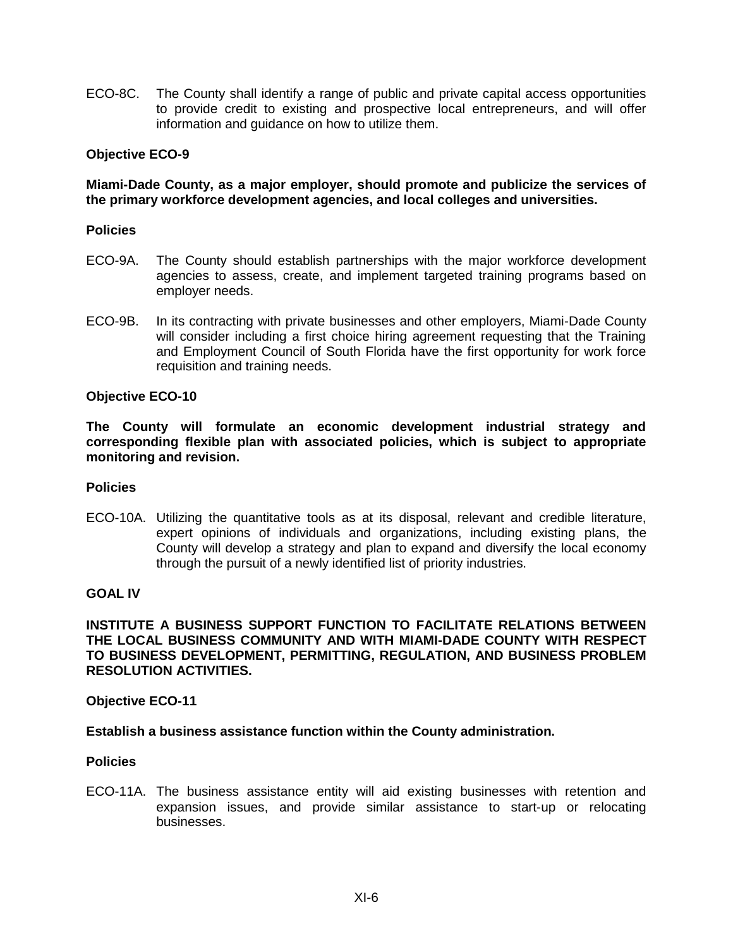ECO-8C. The County shall identify a range of public and private capital access opportunities to provide credit to existing and prospective local entrepreneurs, and will offer information and guidance on how to utilize them.

# **Objective ECO-9**

# **Miami-Dade County, as a major employer, should promote and publicize the services of the primary workforce development agencies, and local colleges and universities.**

## **Policies**

- ECO-9A. The County should establish partnerships with the major workforce development agencies to assess, create, and implement targeted training programs based on employer needs.
- ECO-9B. In its contracting with private businesses and other employers, Miami-Dade County will consider including a first choice hiring agreement requesting that the Training and Employment Council of South Florida have the first opportunity for work force requisition and training needs.

#### **Objective ECO-10**

**The County will formulate an economic development industrial strategy and corresponding flexible plan with associated policies, which is subject to appropriate monitoring and revision.**

#### **Policies**

ECO-10A. Utilizing the quantitative tools as at its disposal, relevant and credible literature, expert opinions of individuals and organizations, including existing plans, the County will develop a strategy and plan to expand and diversify the local economy through the pursuit of a newly identified list of priority industries.

## **GOAL IV**

## **INSTITUTE A BUSINESS SUPPORT FUNCTION TO FACILITATE RELATIONS BETWEEN THE LOCAL BUSINESS COMMUNITY AND WITH MIAMI-DADE COUNTY WITH RESPECT TO BUSINESS DEVELOPMENT, PERMITTING, REGULATION, AND BUSINESS PROBLEM RESOLUTION ACTIVITIES.**

#### **Objective ECO-11**

#### **Establish a business assistance function within the County administration.**

#### **Policies**

ECO-11A. The business assistance entity will aid existing businesses with retention and expansion issues, and provide similar assistance to start-up or relocating businesses.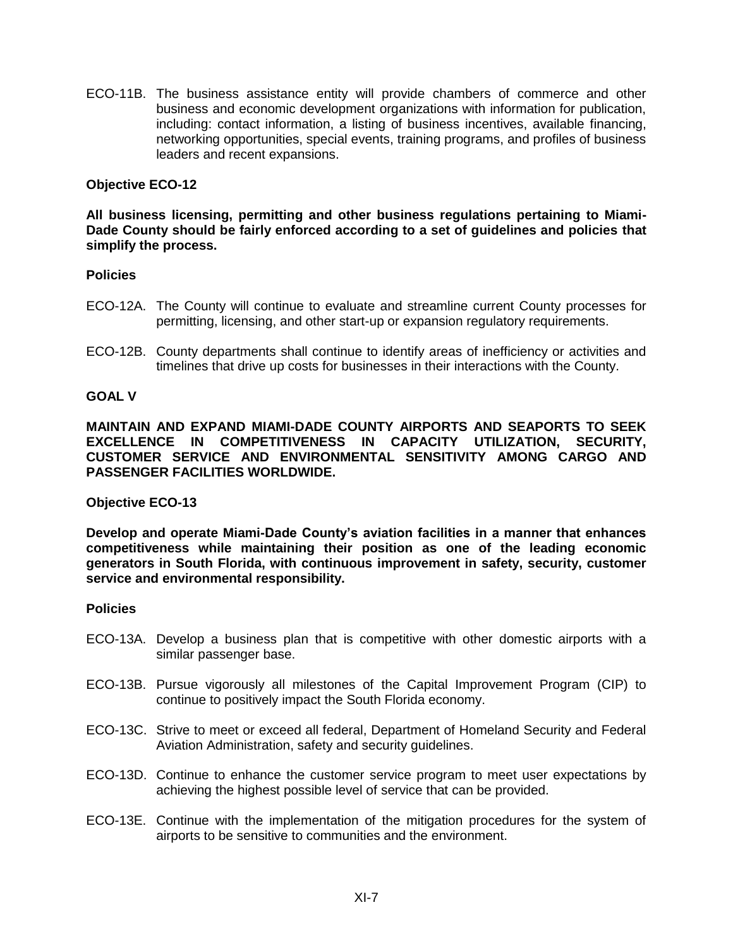ECO-11B. The business assistance entity will provide chambers of commerce and other business and economic development organizations with information for publication, including: contact information, a listing of business incentives, available financing, networking opportunities, special events, training programs, and profiles of business leaders and recent expansions.

# **Objective ECO-12**

**All business licensing, permitting and other business regulations pertaining to Miami-Dade County should be fairly enforced according to a set of guidelines and policies that simplify the process.**

#### **Policies**

- ECO-12A. The County will continue to evaluate and streamline current County processes for permitting, licensing, and other start-up or expansion regulatory requirements.
- ECO-12B. County departments shall continue to identify areas of inefficiency or activities and timelines that drive up costs for businesses in their interactions with the County.

#### **GOAL V**

**MAINTAIN AND EXPAND MIAMI-DADE COUNTY AIRPORTS AND SEAPORTS TO SEEK EXCELLENCE IN COMPETITIVENESS IN CAPACITY UTILIZATION, SECURITY, CUSTOMER SERVICE AND ENVIRONMENTAL SENSITIVITY AMONG CARGO AND PASSENGER FACILITIES WORLDWIDE.**

#### **Objective ECO-13**

**Develop and operate Miami-Dade County's aviation facilities in a manner that enhances competitiveness while maintaining their position as one of the leading economic generators in South Florida, with continuous improvement in safety, security, customer service and environmental responsibility.**

#### **Policies**

- ECO-13A. Develop a business plan that is competitive with other domestic airports with a similar passenger base.
- ECO-13B. Pursue vigorously all milestones of the Capital Improvement Program (CIP) to continue to positively impact the South Florida economy.
- ECO-13C. Strive to meet or exceed all federal, Department of Homeland Security and Federal Aviation Administration, safety and security guidelines.
- ECO-13D. Continue to enhance the customer service program to meet user expectations by achieving the highest possible level of service that can be provided.
- ECO-13E. Continue with the implementation of the mitigation procedures for the system of airports to be sensitive to communities and the environment.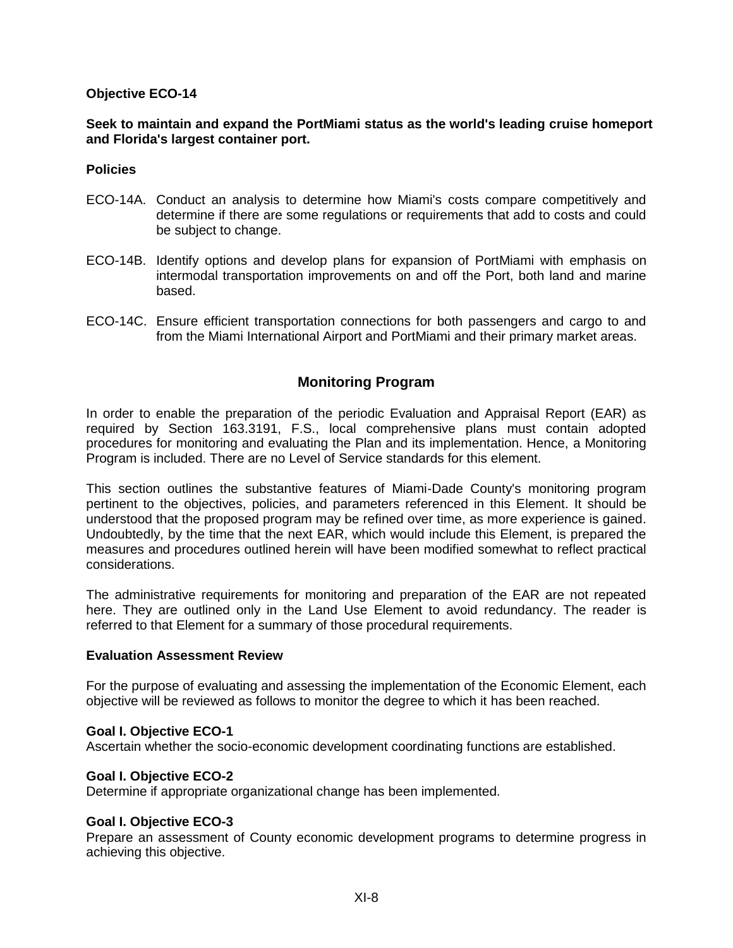# **Objective ECO-14**

# **Seek to maintain and expand the PortMiami status as the world's leading cruise homeport and Florida's largest container port.**

#### **Policies**

- ECO-14A. Conduct an analysis to determine how Miami's costs compare competitively and determine if there are some regulations or requirements that add to costs and could be subject to change.
- ECO-14B. Identify options and develop plans for expansion of PortMiami with emphasis on intermodal transportation improvements on and off the Port, both land and marine based.
- ECO-14C. Ensure efficient transportation connections for both passengers and cargo to and from the Miami International Airport and PortMiami and their primary market areas.

# **Monitoring Program**

In order to enable the preparation of the periodic Evaluation and Appraisal Report (EAR) as required by Section 163.3191, F.S., local comprehensive plans must contain adopted procedures for monitoring and evaluating the Plan and its implementation. Hence, a Monitoring Program is included. There are no Level of Service standards for this element.

This section outlines the substantive features of Miami-Dade County's monitoring program pertinent to the objectives, policies, and parameters referenced in this Element. It should be understood that the proposed program may be refined over time, as more experience is gained. Undoubtedly, by the time that the next EAR, which would include this Element, is prepared the measures and procedures outlined herein will have been modified somewhat to reflect practical considerations.

The administrative requirements for monitoring and preparation of the EAR are not repeated here. They are outlined only in the Land Use Element to avoid redundancy. The reader is referred to that Element for a summary of those procedural requirements.

#### **Evaluation Assessment Review**

For the purpose of evaluating and assessing the implementation of the Economic Element, each objective will be reviewed as follows to monitor the degree to which it has been reached.

#### **Goal I. Objective ECO-1**

Ascertain whether the socio-economic development coordinating functions are established.

#### **Goal I. Objective ECO-2**

Determine if appropriate organizational change has been implemented.

#### **Goal I. Objective ECO-3**

Prepare an assessment of County economic development programs to determine progress in achieving this objective.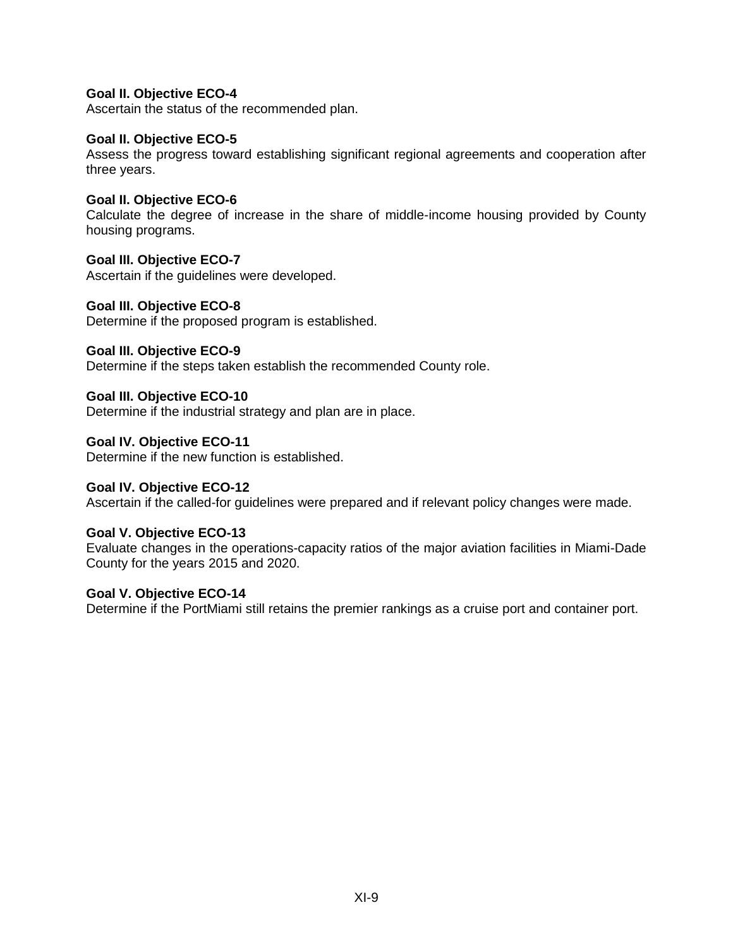# **Goal II. Objective ECO-4**

Ascertain the status of the recommended plan.

#### **Goal II. Objective ECO-5**

Assess the progress toward establishing significant regional agreements and cooperation after three years.

#### **Goal II. Objective ECO-6**

Calculate the degree of increase in the share of middle-income housing provided by County housing programs.

# **Goal III. Objective ECO-7**

Ascertain if the guidelines were developed.

#### **Goal III. Objective ECO-8**

Determine if the proposed program is established.

# **Goal III. Objective ECO-9**

Determine if the steps taken establish the recommended County role.

#### **Goal III. Objective ECO-10**

Determine if the industrial strategy and plan are in place.

#### **Goal IV. Objective ECO-11**

Determine if the new function is established.

#### **Goal IV. Objective ECO-12**

Ascertain if the called-for guidelines were prepared and if relevant policy changes were made.

#### **Goal V. Objective ECO-13**

Evaluate changes in the operations-capacity ratios of the major aviation facilities in Miami-Dade County for the years 2015 and 2020.

#### **Goal V. Objective ECO-14**

Determine if the PortMiami still retains the premier rankings as a cruise port and container port.